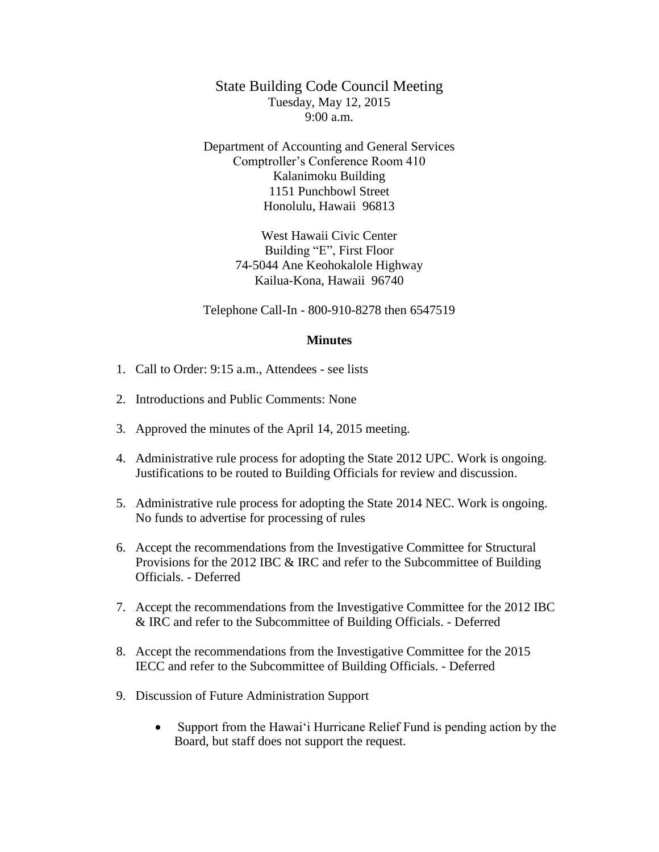State Building Code Council Meeting Tuesday, May 12, 2015 9:00 a.m.

Department of Accounting and General Services Comptroller's Conference Room 410 Kalanimoku Building 1151 Punchbowl Street Honolulu, Hawaii 96813

> West Hawaii Civic Center Building "E", First Floor 74-5044 Ane Keohokalole Highway Kailua-Kona, Hawaii 96740

Telephone Call-In - 800-910-8278 then 6547519

## **Minutes**

- 1. Call to Order: 9:15 a.m., Attendees see lists
- 2. Introductions and Public Comments: None
- 3. Approved the minutes of the April 14, 2015 meeting.
- 4. Administrative rule process for adopting the State 2012 UPC. Work is ongoing. Justifications to be routed to Building Officials for review and discussion.
- 5. Administrative rule process for adopting the State 2014 NEC. Work is ongoing. No funds to advertise for processing of rules
- 6. Accept the recommendations from the Investigative Committee for Structural Provisions for the 2012 IBC & IRC and refer to the Subcommittee of Building Officials. - Deferred
- 7. Accept the recommendations from the Investigative Committee for the 2012 IBC & IRC and refer to the Subcommittee of Building Officials. - Deferred
- 8. Accept the recommendations from the Investigative Committee for the 2015 IECC and refer to the Subcommittee of Building Officials. - Deferred
- 9. Discussion of Future Administration Support
	- Support from the Hawai'i Hurricane Relief Fund is pending action by the Board, but staff does not support the request.